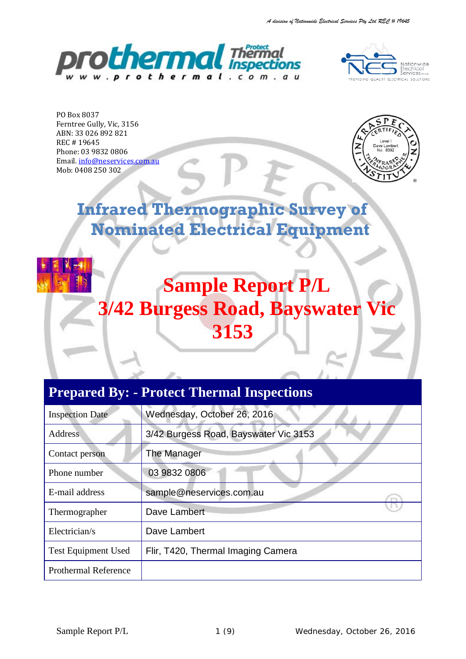



PO Box 8037 Ferntree Gully, Vic, 3156 ABN: 33 026 892 821 REC # 19645 Phone: 03 9832 0806 Email[. info@neservices.com.au](mailto:info@neservices.com.au) Mob: 0408 250 302



# **Infrared Thermographic Survey of Nominated Electrical Equipment**



# **Sample Report P/L 3/42 Burgess Road, Bayswater Vic 3153**

# **Prepared By: - Protect Thermal Inspections**

| <b>Inspection Date</b>      | Wednesday, October 26, 2016           |
|-----------------------------|---------------------------------------|
| <b>Address</b>              | 3/42 Burgess Road, Bayswater Vic 3153 |
| Contact person              | The Manager                           |
| Phone number                | 03 9832 0806                          |
| E-mail address              | sample@neservices.com.au              |
| Thermographer               | Dave Lambert                          |
| Electrician/s               | Dave Lambert                          |
| <b>Test Equipment Used</b>  | Flir, T420, Thermal Imaging Camera    |
| <b>Prothermal Reference</b> |                                       |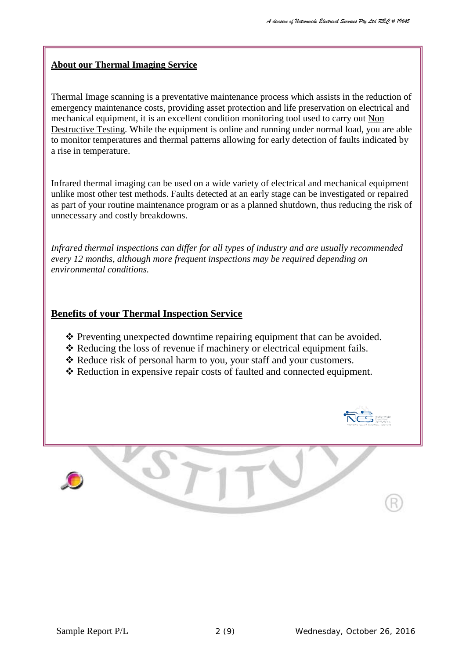## **About our Thermal Imaging Service**

Thermal Image scanning is a preventative maintenance process which assists in the reduction of emergency maintenance costs, providing asset protection and life preservation on electrical and mechanical equipment, it is an excellent condition monitoring tool used to carry out Non Destructive Testing. While the equipment is online and running under normal load, you are able to monitor temperatures and thermal patterns allowing for early detection of faults indicated by a rise in temperature.

Infrared thermal imaging can be used on a wide variety of electrical and mechanical equipment unlike most other test methods. Faults detected at an early stage can be investigated or repaired as part of your routine maintenance program or as a planned shutdown, thus reducing the risk of unnecessary and costly breakdowns.

*Infrared thermal inspections can differ for all types of industry and are usually recommended every 12 months, although more frequent inspections may be required depending on environmental conditions.*

# **Benefits of your Thermal Inspection Service**

- $\cdot \cdot$  Preventing unexpected downtime repairing equipment that can be avoided.
- \* Reducing the loss of revenue if machinery or electrical equipment fails.
- \* Reduce risk of personal harm to you, your staff and your customers.
- \* Reduction in expensive repair costs of faulted and connected equipment.

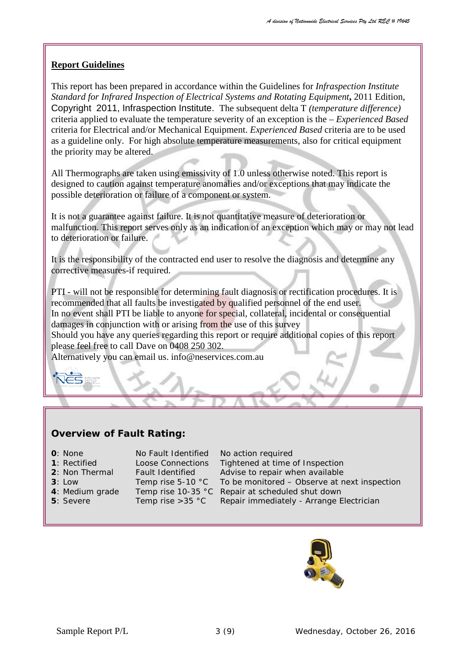## **Report Guidelines**

This report has been prepared in accordance within the Guidelines for *Infraspection Institute Standard for Infrared Inspection of Electrical Systems and Rotating Equipment***,** 2011 Edition, Copyright 2011, Infraspection Institute. The subsequent delta T *(temperature difference)*  criteria applied to evaluate the temperature severity of an exception is the – *Experienced Based* criteria for Electrical and/or Mechanical Equipment. *Experienced Based* criteria are to be used as a guideline only. For high absolute temperature measurements, also for critical equipment the priority may be altered.

All Thermographs are taken using emissivity of 1.0 unless otherwise noted. This report is designed to caution against temperature anomalies and/or exceptions that may indicate the possible deterioration or failure of a component or system.

It is not a guarantee against failure. It is not quantitative measure of deterioration or malfunction. This report serves only as an indication of an exception which may or may not lead to deterioration or failure.

It is the responsibility of the contracted end user to resolve the diagnosis and determine any corrective measures-if required.

PTI - will not be responsible for determining fault diagnosis or rectification procedures. It is recommended that all faults be investigated by qualified personnel of the end user. In no event shall PTI be liable to anyone for special, collateral, incidental or consequential damages in conjunction with or arising from the use of this survey Should you have any queries regarding this report or require additional copies of this report please feel free to call Dave on 0408 250 302.

Alternatively you can email us. info@neservices.com.au

# **Overview of Fault Rating:**

- 
- 
- 
- 
- 
- 

**0**: None No Fault Identified No action required

: Rectified Loose Connections Tightened at time of Inspection : Non Thermal Fault Identified Advise to repair when available<br>**3**: Low Temp rise 5-10 °C To be monitored – Observe at n : Low Temp rise 5-10 °C To be monitored – Observe at next inspection : Medium grade Temp rise 10-35 °C Repair at scheduled shut down : Severe Temp rise > 35 °C Repair immediately - Arrange Electrician

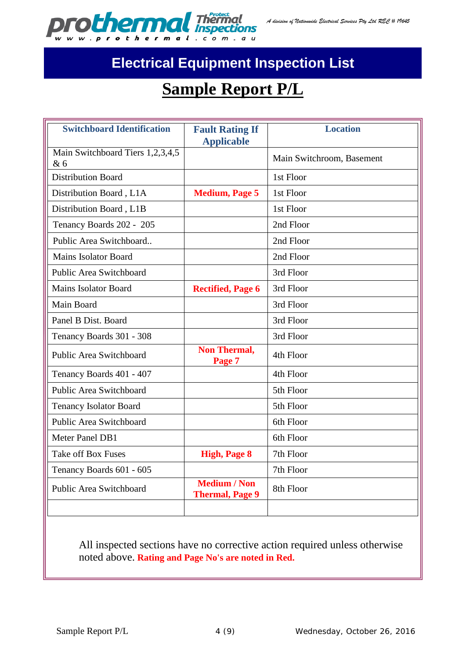

# **Electrical Equipment Inspection List**

# **Sample Report P/L**

| <b>Switchboard Identification</b>       | <b>Fault Rating If</b><br><b>Applicable</b>   | <b>Location</b>           |
|-----------------------------------------|-----------------------------------------------|---------------------------|
| Main Switchboard Tiers 1,2,3,4,5<br>& 6 |                                               | Main Switchroom, Basement |
| <b>Distribution Board</b>               |                                               | 1st Floor                 |
| Distribution Board, L1A                 | <b>Medium, Page 5</b>                         | 1st Floor                 |
| Distribution Board, L1B                 |                                               | 1st Floor                 |
| Tenancy Boards 202 - 205                |                                               | 2nd Floor                 |
| Public Area Switchboard                 |                                               | 2nd Floor                 |
| Mains Isolator Board                    |                                               | 2nd Floor                 |
| Public Area Switchboard                 |                                               | 3rd Floor                 |
| <b>Mains Isolator Board</b>             | <b>Rectified, Page 6</b>                      | 3rd Floor                 |
| Main Board                              |                                               | 3rd Floor                 |
| Panel B Dist. Board                     |                                               | 3rd Floor                 |
| Tenancy Boards 301 - 308                |                                               | 3rd Floor                 |
| <b>Public Area Switchboard</b>          | <b>Non Thermal,</b><br>Page 7                 | 4th Floor                 |
| Tenancy Boards 401 - 407                |                                               | 4th Floor                 |
| Public Area Switchboard                 |                                               | 5th Floor                 |
| <b>Tenancy Isolator Board</b>           |                                               | 5th Floor                 |
| Public Area Switchboard                 |                                               | 6th Floor                 |
| Meter Panel DB1                         |                                               | 6th Floor                 |
| <b>Take off Box Fuses</b>               | <b>High, Page 8</b>                           | 7th Floor                 |
| Tenancy Boards 601 - 605                |                                               | 7th Floor                 |
| <b>Public Area Switchboard</b>          | <b>Medium / Non</b><br><b>Thermal, Page 9</b> | 8th Floor                 |
|                                         |                                               |                           |

All inspected sections have no corrective action required unless otherwise noted above. **Rating and Page No's are noted in Red.**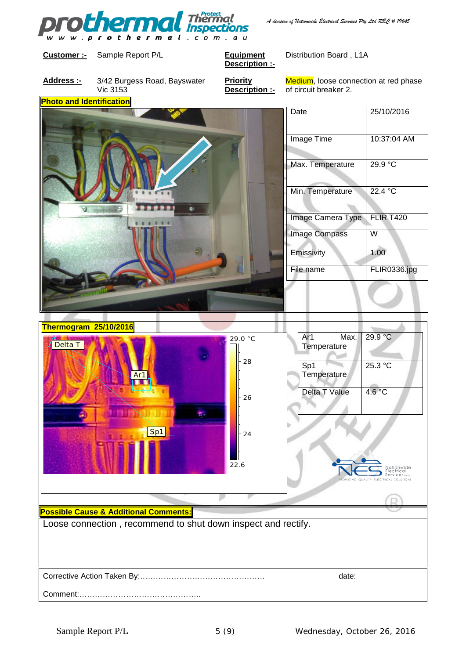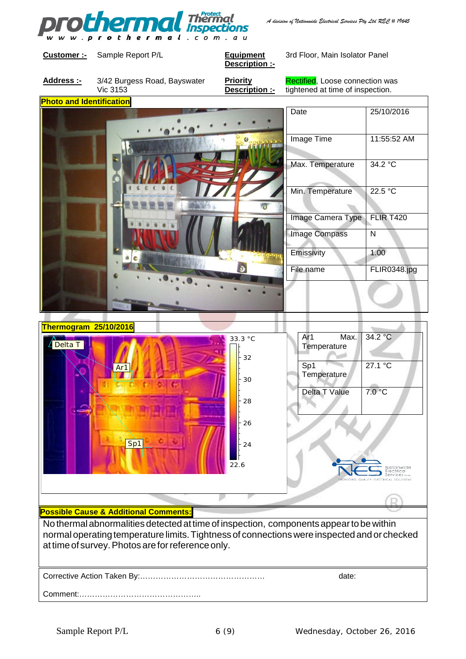

*A division of Nationwide Electrical Services Pty Ltd REC # 19645*

**Customer :-** Sample Report P/L **Equipment** 

**Description :-**

3rd Floor, Main Isolator Panel

**Address :-** 3/42 Burgess Road, Bayswater Vic 3153

**Priority Description :-** Rectified, Loose connection was tightened at time of inspection.

**Photo and Identification** Date 25/10/2016 Image Time 11:55:52 AM  $\epsilon$ Max. Temperature | 34.2 °C Min. Temperature 22.5 °C Image Camera Type | FLIR T420 Image Compass | N Emissivity 1.00 File name FLIR0348.jpg



## **Possible Cause & Additional Comments:**

No thermalabnormalities detected attime of inspection, componentsappeartobewithin normaloperatingtemperature limits.Tightness of connectionswere inspected and or checked at time of survey. Photos are for reference only.

| date: |
|-------|
|       |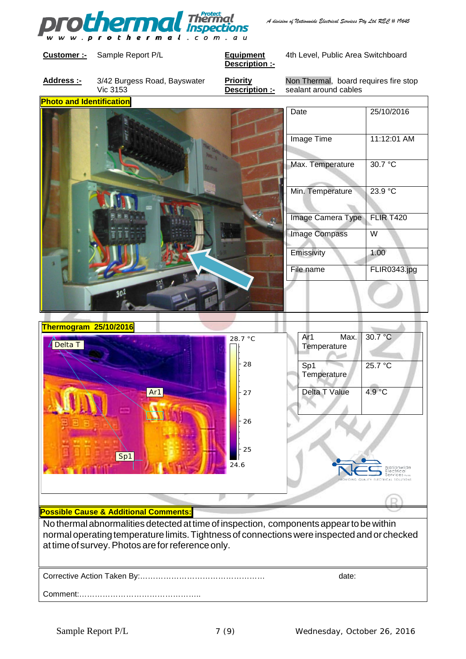

#### **Customer :-** Sample Report P/L **Equipment**

**Description :-**

4th Level, Public Area Switchboard

**Address :-** 3/42 Burgess Road, Bayswater Vic 3153

**Priority Description :-** Non Thermal, board requires fire stop sealant around cables

**Photo and Identification** Date 25/10/2016 Image Time 11:12:01 AM Max. Temperature 30.7 °C Min. Temperature 23.9 °C Image Camera Type | FLIR T420 Image Compass | W Emissivity 1.00 File name FLIR0343.jpg



### **Possible Cause & Additional Comments:**

No thermalabnormalities detected attime of inspection, componentsappeartobewithin normaloperatingtemperature limits.Tightness of connectionswere inspected and or checked at time of survey. Photos are for reference only.

| date: |
|-------|
|       |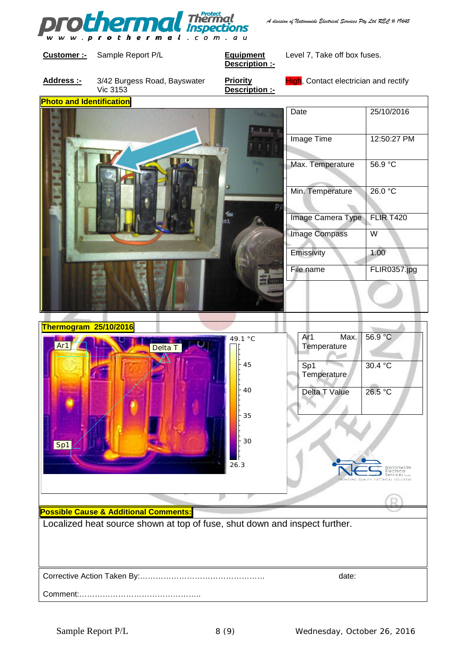

*A division of Nationwide Electrical Services Pty Ltd REC # 19645*

**Photo and Identification**

#### **Customer :-** Sample Report P/L **Equipment**

**Description :-**

Level 7, Take off box fuses.

**Address :-** 3/42 Burgess Road, Bayswater Vic 3153

**Priority Description :-** High, Contact electrician and rectify

|                           | 25/10/2016       |
|---------------------------|------------------|
| Image Time                | 12:50:27 PM      |
| Max. Temperature          | 56.9 °C          |
| Min. Temperature          | 26.0 °C          |
| Image Camera Type         | <b>FLIR T420</b> |
| <b>Image Compass</b><br>W |                  |
|                           | 1.00             |
|                           | FLIR0357.jpg     |
|                           |                  |
|                           |                  |



Comment:………………………………………..